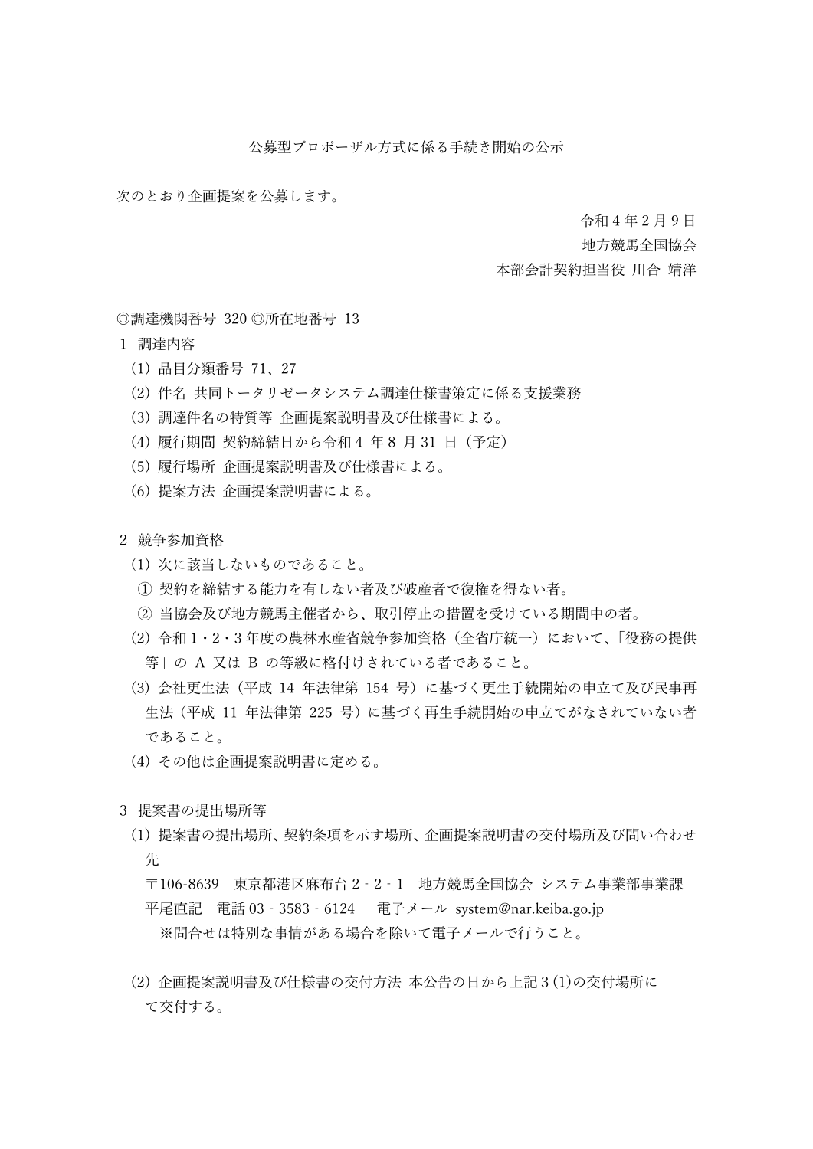公募型プロポーザル方式に係る手続き開始の公示

次のとおり企画提案を公募します。

令和 4 年 2 月 9 日

地方競馬全国協会

## 本部会計契約担当役 川合 靖洋

◎調達機関番号 320 ◎所在地番号 13

- 1 調達内容
	- (1) 品目分類番号 71、27
	- (2) 件名 共同トータリゼータシステム調達仕様書策定に係る支援業務
	- (3) 調達件名の特質等 企画提案説明書及び仕様書による。
	- (4) 履行期間 契約締結日から令和 4 年 8 月 31 日(予定)
	- (5) 履行場所 企画提案説明書及び仕様書による。
	- (6) 提案方法 企画提案説明書による。

2 競争参加資格

- (1) 次に該当しないものであること。
- ① 契約を締結する能力を有しない者及び破産者で復権を得ない者。
- ② 当協会及び地方競馬主催者から、取引停止の措置を受けている期間中の者。
- (2) 令和 1・2・3 年度の農林水産省競争参加資格(全省庁統一)において、「役務の提供 等」の A 又は B の等級に格付けされている者であること。
- (3) 会社更生法(平成 14 年法律第 154 号)に基づく更生手続開始の申立て及び民事再 生法(平成 11 年法律第 225 号)に基づく再生手続開始の申立てがなされていない者 であること。
- (4) その他は企画提案説明書に定める。
- 3 提案書の提出場所等
	- (1) 提案書の提出場所、契約条項を示す場所、企画提案説明書の交付場所及び問い合わせ 先

〒106-8639 東京都港区麻布台 2‐2‐1 地方競馬全国協会 システム事業部事業課 平尾直記 電話 03‐3583‐6124 電子メール system@nar.keiba.go.jp ※問合せは特別な事情がある場合を除いて電子メールで行うこと。

(2) 企画提案説明書及び仕様書の交付方法 本公告の日から上記3(1)の交付場所に て交付する。